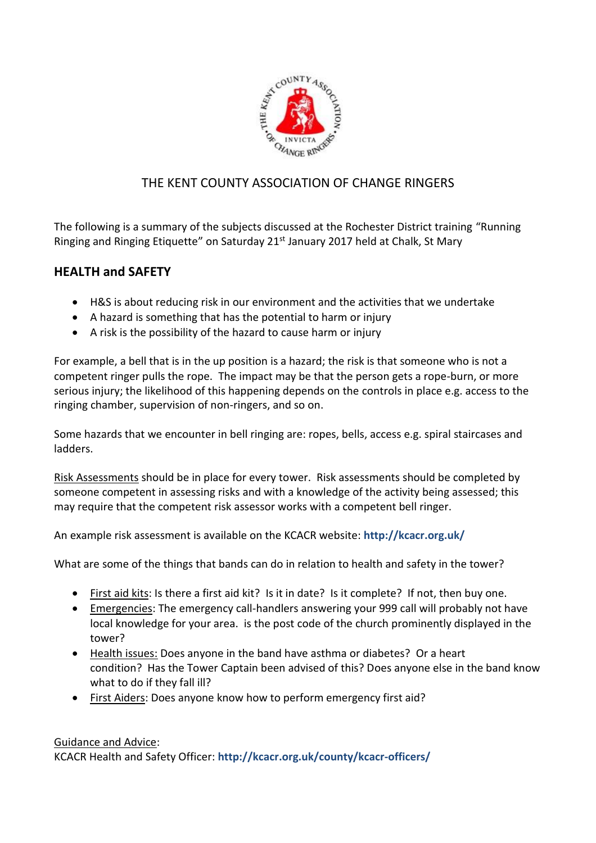

# THE KENT COUNTY ASSOCIATION OF CHANGE RINGERS

The following is a summary of the subjects discussed at the Rochester District training "Running Ringing and Ringing Etiquette" on Saturday 21<sup>st</sup> January 2017 held at Chalk, St Mary

# **HEALTH and SAFETY**

- H&S is about reducing risk in our environment and the activities that we undertake
- A hazard is something that has the potential to harm or injury
- A risk is the possibility of the hazard to cause harm or injury

For example, a bell that is in the up position is a hazard; the risk is that someone who is not a competent ringer pulls the rope. The impact may be that the person gets a rope-burn, or more serious injury; the likelihood of this happening depends on the controls in place e.g. access to the ringing chamber, supervision of non-ringers, and so on.

Some hazards that we encounter in bell ringing are: ropes, bells, access e.g. spiral staircases and ladders.

Risk Assessments should be in place for every tower. Risk assessments should be completed by someone competent in assessing risks and with a knowledge of the activity being assessed; this may require that the competent risk assessor works with a competent bell ringer.

An example risk assessment is available on the KCACR website: **<http://kcacr.org.uk/>**

What are some of the things that bands can do in relation to health and safety in the tower?

- First aid kits: Is there a first aid kit? Is it in date? Is it complete? If not, then buy one.
- Emergencies: The emergency call-handlers answering your 999 call will probably not have local knowledge for your area. is the post code of the church prominently displayed in the tower?
- Health issues: Does anyone in the band have asthma or diabetes? Or a heart condition? Has the Tower Captain been advised of this? Does anyone else in the band know what to do if they fall ill?
- First Aiders: Does anyone know how to perform emergency first aid?

# Guidance and Advice: KCACR Health and Safety Officer: **http://kcacr.org.uk/county/kcacr-officers/**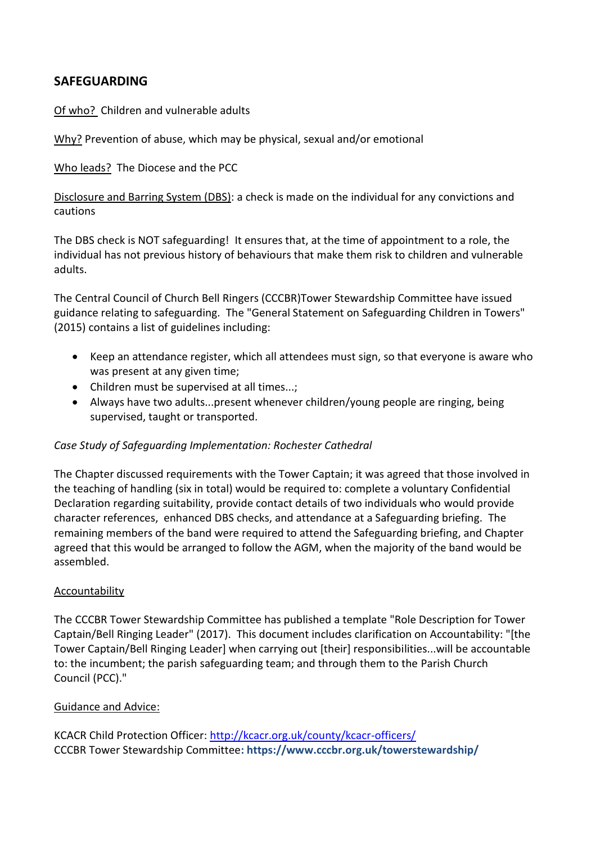# **SAFEGUARDING**

Of who? Children and vulnerable adults

Why? Prevention of abuse, which may be physical, sexual and/or emotional

Who leads? The Diocese and the PCC

Disclosure and Barring System (DBS): a check is made on the individual for any convictions and cautions

The DBS check is NOT safeguarding! It ensures that, at the time of appointment to a role, the individual has not previous history of behaviours that make them risk to children and vulnerable adults.

The Central Council of Church Bell Ringers (CCCBR)Tower Stewardship Committee have issued guidance relating to safeguarding. The "General Statement on Safeguarding Children in Towers" (2015) contains a list of guidelines including:

- Keep an attendance register, which all attendees must sign, so that everyone is aware who was present at any given time;
- Children must be supervised at all times...;
- Always have two adults...present whenever children/young people are ringing, being supervised, taught or transported.

## *Case Study of Safeguarding Implementation: Rochester Cathedral*

The Chapter discussed requirements with the Tower Captain; it was agreed that those involved in the teaching of handling (six in total) would be required to: complete a voluntary Confidential Declaration regarding suitability, provide contact details of two individuals who would provide character references, enhanced DBS checks, and attendance at a Safeguarding briefing. The remaining members of the band were required to attend the Safeguarding briefing, and Chapter agreed that this would be arranged to follow the AGM, when the majority of the band would be assembled.

### Accountability

The CCCBR Tower Stewardship Committee has published a template "Role Description for Tower Captain/Bell Ringing Leader" (2017). This document includes clarification on Accountability: "[the Tower Captain/Bell Ringing Leader] when carrying out [their] responsibilities...will be accountable to: the incumbent; the parish safeguarding team; and through them to the Parish Church Council (PCC)."

### Guidance and Advice:

KCACR Child Protection Officer:<http://kcacr.org.uk/county/kcacr-officers/> CCCBR Tower Stewardship Committee**:<https://www.cccbr.org.uk/towerstewardship/>**